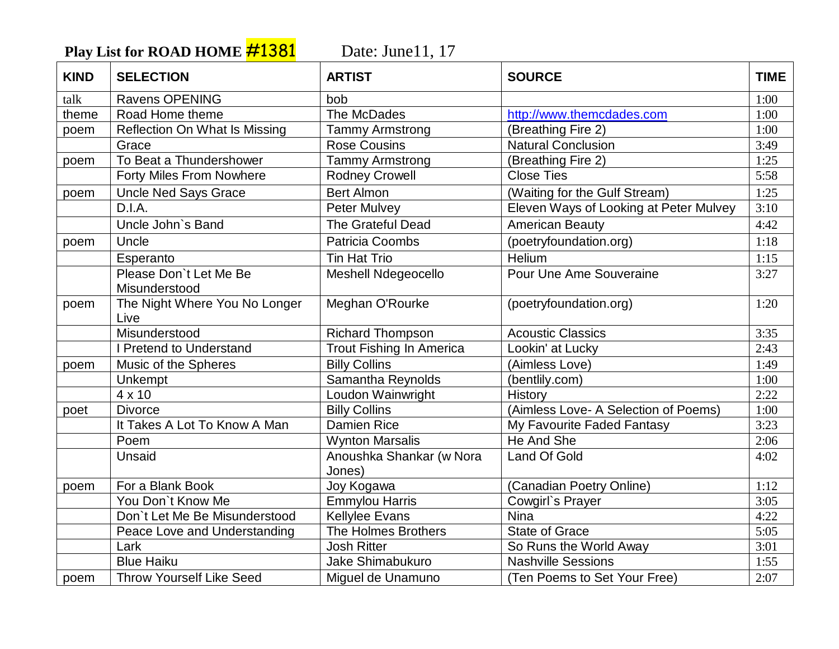Play List for ROAD HOME **#1381** Date: June11, 17

| <b>KIND</b> | <b>SELECTION</b>                        | <b>ARTIST</b>                      | <b>SOURCE</b>                          | <b>TIME</b> |
|-------------|-----------------------------------------|------------------------------------|----------------------------------------|-------------|
| talk        | Ravens OPENING                          | bob                                |                                        | 1:00        |
| theme       | Road Home theme                         | The McDades                        | http://www.themcdades.com              | 1:00        |
| poem        | <b>Reflection On What Is Missing</b>    | <b>Tammy Armstrong</b>             | (Breathing Fire 2)                     | 1:00        |
|             | Grace                                   | <b>Rose Cousins</b>                | <b>Natural Conclusion</b>              | 3:49        |
| poem        | To Beat a Thundershower                 | <b>Tammy Armstrong</b>             | (Breathing Fire 2)                     | 1:25        |
|             | Forty Miles From Nowhere                | <b>Rodney Crowell</b>              | <b>Close Ties</b>                      | 5:58        |
| poem        | <b>Uncle Ned Says Grace</b>             | <b>Bert Almon</b>                  | (Waiting for the Gulf Stream)          | 1:25        |
|             | D.I.A.                                  | <b>Peter Mulvey</b>                | Eleven Ways of Looking at Peter Mulvey | 3:10        |
|             | Uncle John's Band                       | <b>The Grateful Dead</b>           | <b>American Beauty</b>                 | 4:42        |
| poem        | Uncle                                   | <b>Patricia Coombs</b>             | (poetryfoundation.org)                 | 1:18        |
|             | Esperanto                               | <b>Tin Hat Trio</b>                | <b>Helium</b>                          | 1:15        |
|             | Please Don't Let Me Be<br>Misunderstood | <b>Meshell Ndegeocello</b>         | Pour Une Ame Souveraine                | 3:27        |
| poem        | The Night Where You No Longer<br>Live   | Meghan O'Rourke                    | (poetryfoundation.org)                 | 1:20        |
|             | Misunderstood                           | <b>Richard Thompson</b>            | <b>Acoustic Classics</b>               | 3:35        |
|             | I Pretend to Understand                 | <b>Trout Fishing In America</b>    | Lookin' at Lucky                       | 2:43        |
| poem        | Music of the Spheres                    | <b>Billy Collins</b>               | (Aimless Love)                         | 1:49        |
|             | Unkempt                                 | Samantha Reynolds                  | (bentlily.com)                         | 1:00        |
|             | $4 \times 10$                           | Loudon Wainwright                  | History                                | 2:22        |
| poet        | <b>Divorce</b>                          | <b>Billy Collins</b>               | (Aimless Love- A Selection of Poems)   | 1:00        |
|             | It Takes A Lot To Know A Man            | <b>Damien Rice</b>                 | My Favourite Faded Fantasy             | 3:23        |
|             | Poem                                    | <b>Wynton Marsalis</b>             | He And She                             | 2:06        |
|             | Unsaid                                  | Anoushka Shankar (w Nora<br>Jones) | <b>Land Of Gold</b>                    | 4:02        |
| poem        | For a Blank Book                        | Joy Kogawa                         | (Canadian Poetry Online)               | 1:12        |
|             | You Don't Know Me                       | <b>Emmylou Harris</b>              | Cowgirl's Prayer                       | 3:05        |
|             | Don't Let Me Be Misunderstood           | <b>Kellylee Evans</b>              | <b>Nina</b>                            | 4:22        |
|             | Peace Love and Understanding            | The Holmes Brothers                | <b>State of Grace</b>                  | 5:05        |
|             | Lark                                    | <b>Josh Ritter</b>                 | So Runs the World Away                 | 3:01        |
|             | <b>Blue Haiku</b>                       | Jake Shimabukuro                   | <b>Nashville Sessions</b>              | 1:55        |
| poem        | <b>Throw Yourself Like Seed</b>         | Miguel de Unamuno                  | (Ten Poems to Set Your Free)           | 2:07        |